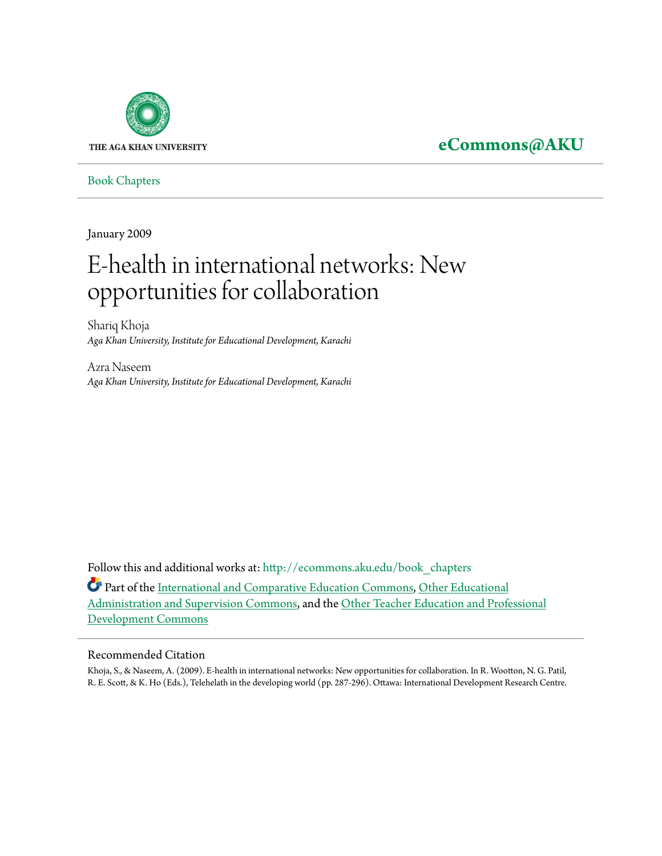

# **[eCommons@AKU](http://ecommons.aku.edu?utm_source=ecommons.aku.edu%2Fbook_chapters%2F86&utm_medium=PDF&utm_campaign=PDFCoverPages)**

[Book Chapters](http://ecommons.aku.edu/book_chapters?utm_source=ecommons.aku.edu%2Fbook_chapters%2F86&utm_medium=PDF&utm_campaign=PDFCoverPages)

January 2009

# E-health in international networks: New opportunities for collaboration

Shariq Khoja *Aga Khan University, Institute for Educational Development, Karachi*

Azra Naseem *Aga Khan University, Institute for Educational Development, Karachi*

Follow this and additional works at: [http://ecommons.aku.edu/book\\_chapters](http://ecommons.aku.edu/book_chapters?utm_source=ecommons.aku.edu%2Fbook_chapters%2F86&utm_medium=PDF&utm_campaign=PDFCoverPages)

Part of the [International and Comparative Education Commons,](http://network.bepress.com/hgg/discipline/797?utm_source=ecommons.aku.edu%2Fbook_chapters%2F86&utm_medium=PDF&utm_campaign=PDFCoverPages) [Other Educational](http://network.bepress.com/hgg/discipline/794?utm_source=ecommons.aku.edu%2Fbook_chapters%2F86&utm_medium=PDF&utm_campaign=PDFCoverPages) [Administration and Supervision Commons,](http://network.bepress.com/hgg/discipline/794?utm_source=ecommons.aku.edu%2Fbook_chapters%2F86&utm_medium=PDF&utm_campaign=PDFCoverPages) and the [Other Teacher Education and Professional](http://network.bepress.com/hgg/discipline/810?utm_source=ecommons.aku.edu%2Fbook_chapters%2F86&utm_medium=PDF&utm_campaign=PDFCoverPages) [Development Commons](http://network.bepress.com/hgg/discipline/810?utm_source=ecommons.aku.edu%2Fbook_chapters%2F86&utm_medium=PDF&utm_campaign=PDFCoverPages)

#### Recommended Citation

Khoja, S., & Naseem, A. (2009). E-health in international networks: New opportunities for collaboration. In R. Wootton, N. G. Patil, R. E. Scott, & K. Ho (Eds.), Telehelath in the developing world (pp. 287-296). Ottawa: International Development Research Centre.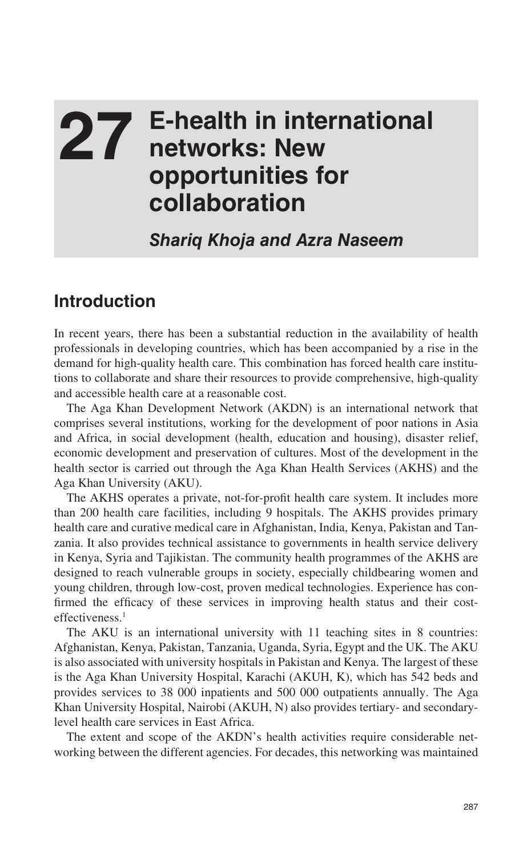# **27 [E-health in international](#page--1-0)  networks: New opportunities for collaboration**

*Shariq Khoja and Azra Naseem*

### **Introduction**

In recent years, there has been a substantial reduction in the availability of health professionals in developing countries, which has been accompanied by a rise in the demand for high-quality health care. This combination has forced health care institutions to collaborate and share their resources to provide comprehensive, high-quality and accessible health care at a reasonable cost.

The Aga Khan Development Network (AKDN) is an international network that comprises several institutions, working for the development of poor nations in Asia and Africa, in social development (health, education and housing), disaster relief, economic development and preservation of cultures. Most of the development in the health sector is carried out through the Aga Khan Health Services (AKHS) and the Aga Khan University (AKU).

The AKHS operates a private, not-for-profit health care system. It includes more than 200 health care facilities, including 9 hospitals. The AKHS provides primary health care and curative medical care in Afghanistan, India, Kenya, Pakistan and Tanzania. It also provides technical assistance to governments in health service delivery in Kenya, Syria and Tajikistan. The community health programmes of the AKHS are designed to reach vulnerable groups in society, especially childbearing women and young children, through low-cost, proven medical technologies. Experience has confirmed the efficacy of these services in improving health status and their costeffectiveness.<sup>1</sup>

The AKU is an international university with 11 teaching sites in 8 countries: Afghanistan, Kenya, Pakistan, Tanzania, Uganda, Syria, Egypt and the UK. The AKU is also associated with university hospitals in Pakistan and Kenya. The largest of these is the Aga Khan University Hospital, Karachi (AKUH, K), which has 542 beds and provides services to 38 000 inpatients and 500 000 outpatients annually. The Aga Khan University Hospital, Nairobi (AKUH, N) also provides tertiary- and secondarylevel health care services in East Africa.

The extent and scope of the AKDN's health activities require considerable networking between the different agencies. For decades, this networking was maintained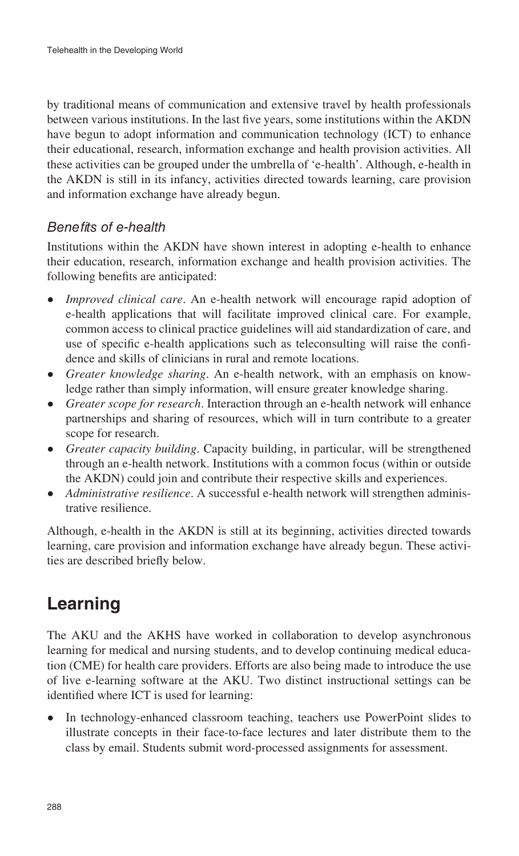by traditional means of communication and extensive travel by health professionals between various institutions. In the last five years, some institutions within the AKDN have begun to adopt information and communication technology (ICT) to enhance their educational, research, information exchange and health provision activities. All these activities can be grouped under the umbrella of 'e-health'. Although, e-health in the AKDN is still in its infancy, activities directed towards learning, care provision and information exchange have already begun.

#### Benefits of e-health

Institutions within the AKDN have shown interest in adopting e-health to enhance their education, research, information exchange and health provision activities. The following benefits are anticipated:

- *Improved clinical care*. An e-health network will encourage rapid adoption of e-health applications that will facilitate improved clinical care. For example, common access to clinical practice guidelines will aid standardization of care, and use of specific e-health applications such as teleconsulting will raise the confidence and skills of clinicians in rural and remote locations.
- *Greater knowledge sharing*. An e-health network, with an emphasis on knowledge rather than simply information, will ensure greater knowledge sharing.
- *Greater scope for research*. Interaction through an e-health network will enhance partnerships and sharing of resources, which will in turn contribute to a greater scope for research.
- *Greater capacity building*. Capacity building, in particular, will be strengthened through an e-health network. Institutions with a common focus (within or outside the AKDN) could join and contribute their respective skills and experiences.
- *Administrative resilience*. A successful e-health network will strengthen administrative resilience.

Although, e-health in the AKDN is still at its beginning, activities directed towards learning, care provision and information exchange have already begun. These activities are described briefly below.

# **Learning**

The AKU and the AKHS have worked in collaboration to develop asynchronous learning for medical and nursing students, and to develop continuing medical education (CME) for health care providers. Efforts are also being made to introduce the use of live e-learning software at the AKU. Two distinct instructional settings can be identified where ICT is used for learning:

In technology-enhanced classroom teaching, teachers use PowerPoint slides to illustrate concepts in their face-to-face lectures and later distribute them to the class by email. Students submit word-processed assignments for assessment.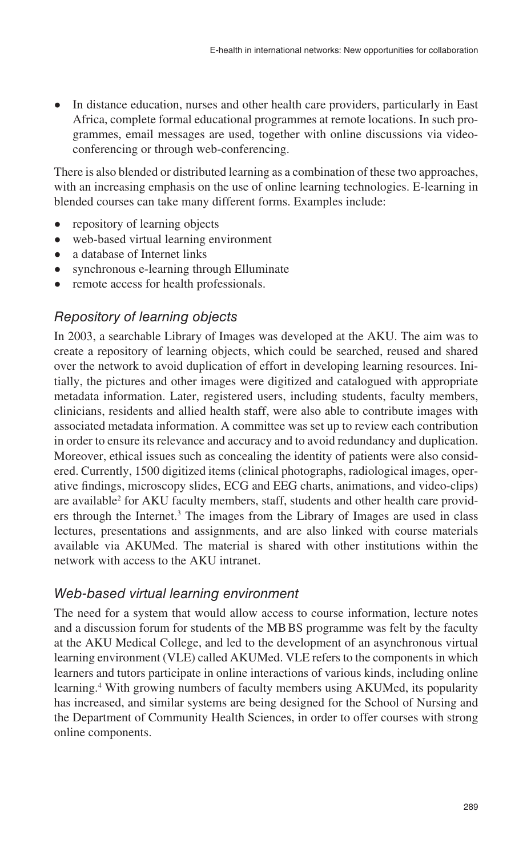In distance education, nurses and other health care providers, particularly in East Africa, complete formal educational programmes at remote locations. In such programmes, email messages are used, together with online discussions via videoconferencing or through web-conferencing.

There is also blended or distributed learning as a combination of these two approaches, with an increasing emphasis on the use of online learning technologies. E-learning in blended courses can take many different forms. Examples include:

- repository of learning objects
- web-based virtual learning environment
- a database of Internet links
- synchronous e-learning through Elluminate
- remote access for health professionals.

#### Repository of learning objects

In 2003, a searchable Library of Images was developed at the AKU. The aim was to create a repository of learning objects, which could be searched, reused and shared over the network to avoid duplication of effort in developing learning resources. Initially, the pictures and other images were digitized and catalogued with appropriate metadata information. Later, registered users, including students, faculty members, clinicians, residents and allied health staff, were also able to contribute images with associated metadata information. A committee was set up to review each contribution in order to ensure its relevance and accuracy and to avoid redundancy and duplication. Moreover, ethical issues such as concealing the identity of patients were also considered. Currently, 1500 digitized items (clinical photographs, radiological images, operative findings, microscopy slides, ECG and EEG charts, animations, and video-clips) are available<sup>2</sup> for AKU faculty members, staff, students and other health care providers through the Internet.<sup>3</sup> The images from the Library of Images are used in class lectures, presentations and assignments, and are also linked with course materials available via AKUMed. The material is shared with other institutions within the network with access to the AKU intranet.

#### Web-based virtual learning environment

The need for a system that would allow access to course information, lecture notes and a discussion forum for students of the MB BS programme was felt by the faculty at the AKU Medical College, and led to the development of an asynchronous virtual learning environment (VLE) called AKUMed. VLE refers to the components in which learners and tutors participate in online interactions of various kinds, including online learning.<sup>4</sup> With growing numbers of faculty members using AKUMed, its popularity has increased, and similar systems are being designed for the School of Nursing and the Department of Community Health Sciences, in order to offer courses with strong online components.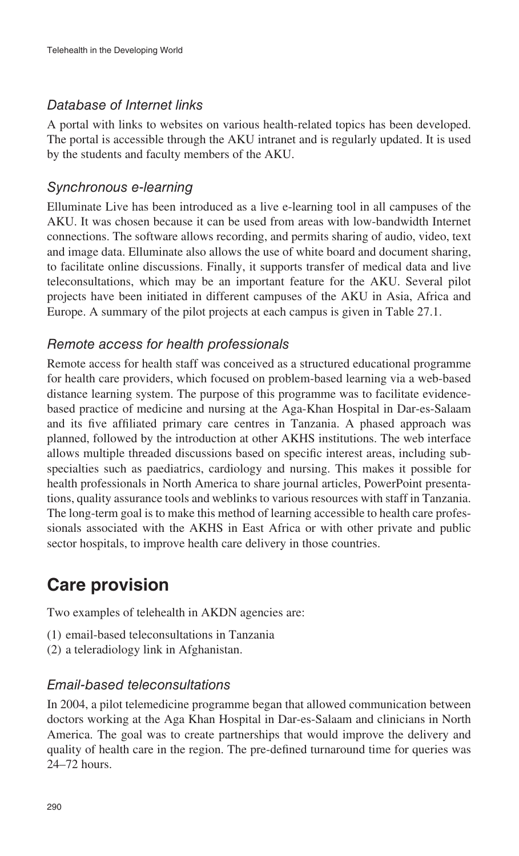#### Database of Internet links

A portal with links to websites on various health-related topics has been developed. The portal is accessible through the AKU intranet and is regularly updated. It is used by the students and faculty members of the AKU.

#### Synchronous e-learning

Elluminate Live has been introduced as a live e-learning tool in all campuses of the AKU. It was chosen because it can be used from areas with low-bandwidth Internet connections. The software allows recording, and permits sharing of audio, video, text and image data. Elluminate also allows the use of white board and document sharing, to facilitate online discussions. Finally, it supports transfer of medical data and live teleconsultations, which may be an important feature for the AKU. Several pilot projects have been initiated in different campuses of the AKU in Asia, Africa and Europe. A summary of the pilot projects at each campus is given in Table 27.1.

#### Remote access for health professionals

Remote access for health staff was conceived as a structured educational programme for health care providers, which focused on problem-based learning via a web-based distance learning system. The purpose of this programme was to facilitate evidencebased practice of medicine and nursing at the Aga-Khan Hospital in Dar-es-Salaam and its five affiliated primary care centres in Tanzania. A phased approach was planned, followed by the introduction at other AKHS institutions. The web interface allows multiple threaded discussions based on specific interest areas, including subspecialties such as paediatrics, cardiology and nursing. This makes it possible for health professionals in North America to share journal articles, PowerPoint presentations, quality assurance tools and weblinks to various resources with staff in Tanzania. The long-term goal is to make this method of learning accessible to health care professionals associated with the AKHS in East Africa or with other private and public sector hospitals, to improve health care delivery in those countries.

### **Care provision**

Two examples of telehealth in AKDN agencies are:

- (1) email-based teleconsultations in Tanzania
- (2) a teleradiology link in Afghanistan.

#### Email-based teleconsultations

In 2004, a pilot telemedicine programme began that allowed communication between doctors working at the Aga Khan Hospital in Dar-es-Salaam and clinicians in North America. The goal was to create partnerships that would improve the delivery and quality of health care in the region. The pre-defined turnaround time for queries was 24–72 hours.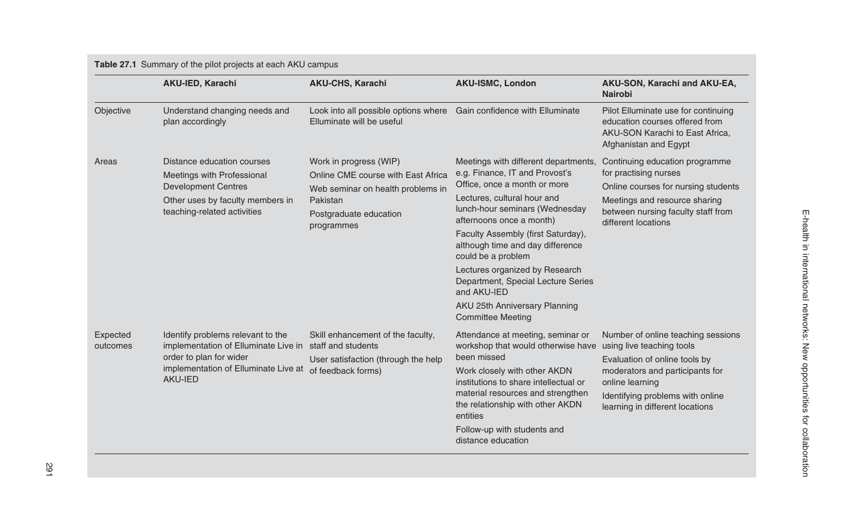|                      | AKU-IED, Karachi                                                                                                                                                           | <b>AKU-CHS, Karachi</b>                                                                                                                               | <b>AKU-ISMC, London</b>                                                                                                                                                                                                                                                                                                                                                                                                                                 | AKU-SON, Karachi and AKU-EA,<br><b>Nairobi</b>                                                                                                                                                                                |
|----------------------|----------------------------------------------------------------------------------------------------------------------------------------------------------------------------|-------------------------------------------------------------------------------------------------------------------------------------------------------|---------------------------------------------------------------------------------------------------------------------------------------------------------------------------------------------------------------------------------------------------------------------------------------------------------------------------------------------------------------------------------------------------------------------------------------------------------|-------------------------------------------------------------------------------------------------------------------------------------------------------------------------------------------------------------------------------|
| Objective            | Understand changing needs and<br>plan accordingly                                                                                                                          | Look into all possible options where<br>Elluminate will be useful                                                                                     | Gain confidence with Elluminate                                                                                                                                                                                                                                                                                                                                                                                                                         | Pilot Elluminate use for continuing<br>education courses offered from<br>AKU-SON Karachi to East Africa.<br>Afghanistan and Egypt                                                                                             |
| Areas                | Distance education courses<br>Meetings with Professional<br><b>Development Centres</b><br>Other uses by faculty members in<br>teaching-related activities                  | Work in progress (WIP)<br>Online CME course with East Africa<br>Web seminar on health problems in<br>Pakistan<br>Postgraduate education<br>programmes | Meetings with different departments,<br>e.g. Finance, IT and Provost's<br>Office, once a month or more<br>Lectures, cultural hour and<br>lunch-hour seminars (Wednesday<br>afternoons once a month)<br>Faculty Assembly (first Saturday),<br>although time and day difference<br>could be a problem<br>Lectures organized by Research<br>Department, Special Lecture Series<br>and AKU-IED<br>AKU 25th Anniversary Planning<br><b>Committee Meeting</b> | Continuing education programme<br>for practising nurses<br>Online courses for nursing students<br>Meetings and resource sharing<br>between nursing faculty staff from<br>different locations                                  |
| Expected<br>outcomes | Identify problems relevant to the<br>implementation of Elluminate Live in staff and students<br>order to plan for wider<br>implementation of Elluminate Live at<br>AKU-IED | Skill enhancement of the faculty,<br>User satisfaction (through the help<br>of feedback forms)                                                        | Attendance at meeting, seminar or<br>workshop that would otherwise have<br>been missed<br>Work closely with other AKDN<br>institutions to share intellectual or<br>material resources and strengthen<br>the relationship with other AKDN<br>entities<br>Follow-up with students and<br>distance education                                                                                                                                               | Number of online teaching sessions<br>using live teaching tools<br>Evaluation of online tools by<br>moderators and participants for<br>online learning<br>Identifying problems with online<br>learning in different locations |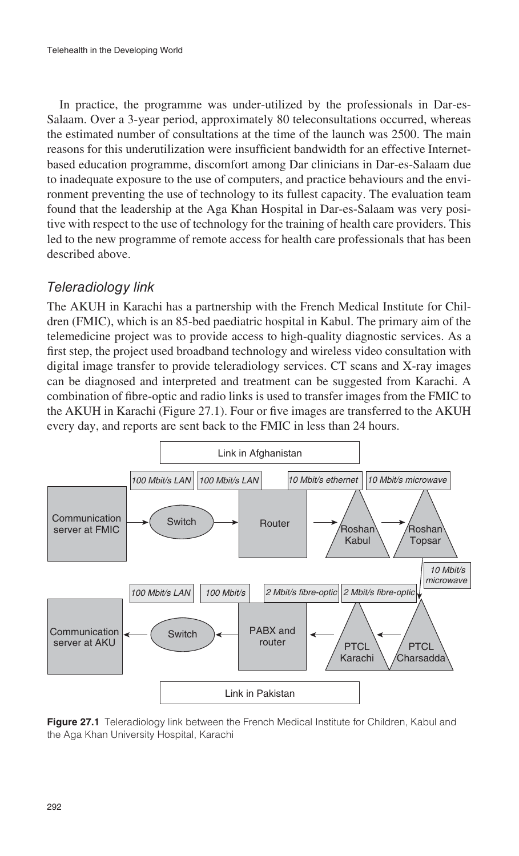In practice, the programme was under-utilized by the professionals in Dar-es-Salaam. Over a 3-year period, approximately 80 teleconsultations occurred, whereas the estimated number of consultations at the time of the launch was 2500. The main reasons for this underutilization were insufficient bandwidth for an effective Internetbased education programme, discomfort among Dar clinicians in Dar-es-Salaam due to inadequate exposure to the use of computers, and practice behaviours and the environment preventing the use of technology to its fullest capacity. The evaluation team found that the leadership at the Aga Khan Hospital in Dar-es-Salaam was very positive with respect to the use of technology for the training of health care providers. This led to the new programme of remote access for health care professionals that has been described above.

#### Teleradiology link

The AKUH in Karachi has a partnership with the French Medical Institute for Children (FMIC), which is an 85-bed paediatric hospital in Kabul. The primary aim of the telemedicine project was to provide access to high-quality diagnostic services. As a first step, the project used broadband technology and wireless video consultation with digital image transfer to provide teleradiology services. CT scans and X-ray images can be diagnosed and interpreted and treatment can be suggested from Karachi. A combination of fibre-optic and radio links is used to transfer images from the FMIC to the AKUH in Karachi (Figure 27.1). Four or five images are transferred to the AKUH every day, and reports are sent back to the FMIC in less than 24 hours.



**Figure 27.1** Teleradiology link between the French Medical Institute for Children, Kabul and the Aga Khan University Hospital, Karachi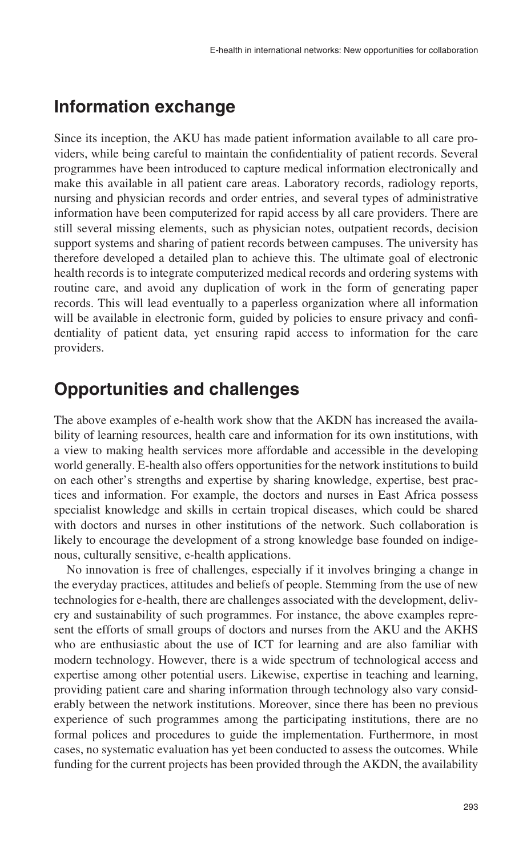## **Information exchange**

Since its inception, the AKU has made patient information available to all care providers, while being careful to maintain the confidentiality of patient records. Several programmes have been introduced to capture medical information electronically and make this available in all patient care areas. Laboratory records, radiology reports, nursing and physician records and order entries, and several types of administrative information have been computerized for rapid access by all care providers. There are still several missing elements, such as physician notes, outpatient records, decision support systems and sharing of patient records between campuses. The university has therefore developed a detailed plan to achieve this. The ultimate goal of electronic health records is to integrate computerized medical records and ordering systems with routine care, and avoid any duplication of work in the form of generating paper records. This will lead eventually to a paperless organization where all information will be available in electronic form, guided by policies to ensure privacy and confidentiality of patient data, yet ensuring rapid access to information for the care providers.

### **Opportunities and challenges**

The above examples of e-health work show that the AKDN has increased the availability of learning resources, health care and information for its own institutions, with a view to making health services more affordable and accessible in the developing world generally. E-health also offers opportunities for the network institutions to build on each other's strengths and expertise by sharing knowledge, expertise, best practices and information. For example, the doctors and nurses in East Africa possess specialist knowledge and skills in certain tropical diseases, which could be shared with doctors and nurses in other institutions of the network. Such collaboration is likely to encourage the development of a strong knowledge base founded on indigenous, culturally sensitive, e-health applications.

No innovation is free of challenges, especially if it involves bringing a change in the everyday practices, attitudes and beliefs of people. Stemming from the use of new technologies for e-health, there are challenges associated with the development, delivery and sustainability of such programmes. For instance, the above examples represent the efforts of small groups of doctors and nurses from the AKU and the AKHS who are enthusiastic about the use of ICT for learning and are also familiar with modern technology. However, there is a wide spectrum of technological access and expertise among other potential users. Likewise, expertise in teaching and learning, providing patient care and sharing information through technology also vary considerably between the network institutions. Moreover, since there has been no previous experience of such programmes among the participating institutions, there are no formal polices and procedures to guide the implementation. Furthermore, in most cases, no systematic evaluation has yet been conducted to assess the outcomes. While funding for the current projects has been provided through the AKDN, the availability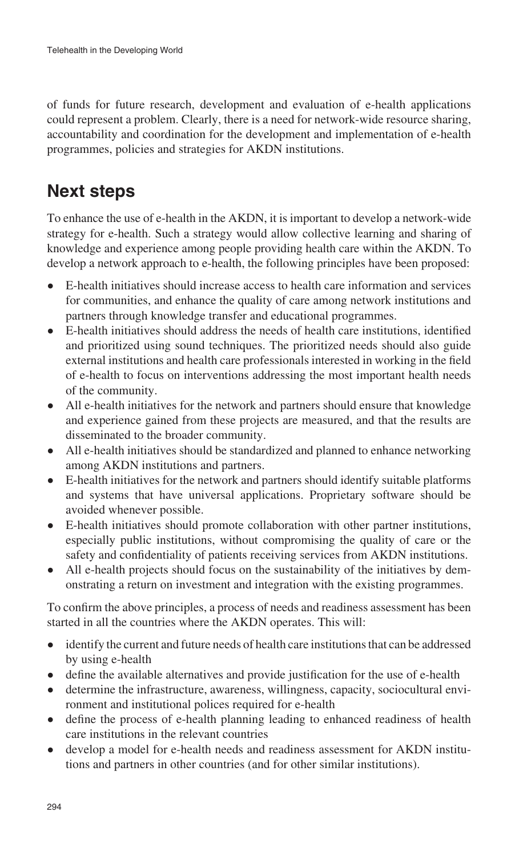of funds for future research, development and evaluation of e-health applications could represent a problem. Clearly, there is a need for network-wide resource sharing, accountability and coordination for the development and implementation of e-health programmes, policies and strategies for AKDN institutions.

# **Next steps**

To enhance the use of e-health in the AKDN, it is important to develop a network-wide strategy for e-health. Such a strategy would allow collective learning and sharing of knowledge and experience among people providing health care within the AKDN. To develop a network approach to e-health, the following principles have been proposed:

- E-health initiatives should increase access to health care information and services for communities, and enhance the quality of care among network institutions and partners through knowledge transfer and educational programmes.
- E-health initiatives should address the needs of health care institutions, identified and prioritized using sound techniques. The prioritized needs should also guide external institutions and health care professionals interested in working in the field of e-health to focus on interventions addressing the most important health needs of the community.
- All e-health initiatives for the network and partners should ensure that knowledge and experience gained from these projects are measured, and that the results are disseminated to the broader community.
- All e-health initiatives should be standardized and planned to enhance networking among AKDN institutions and partners.
- E-health initiatives for the network and partners should identify suitable platforms and systems that have universal applications. Proprietary software should be avoided whenever possible.
- E-health initiatives should promote collaboration with other partner institutions, especially public institutions, without compromising the quality of care or the safety and confidentiality of patients receiving services from AKDN institutions.
- All e-health projects should focus on the sustainability of the initiatives by demonstrating a return on investment and integration with the existing programmes.

To confirm the above principles, a process of needs and readiness assessment has been started in all the countries where the AKDN operates. This will:

- identify the current and future needs of health care institutions that can be addressed by using e-health
- define the available alternatives and provide justification for the use of e-health
- determine the infrastructure, awareness, willingness, capacity, sociocultural environment and institutional polices required for e-health
- define the process of e-health planning leading to enhanced readiness of health care institutions in the relevant countries
- develop a model for e-health needs and readiness assessment for AKDN institutions and partners in other countries (and for other similar institutions).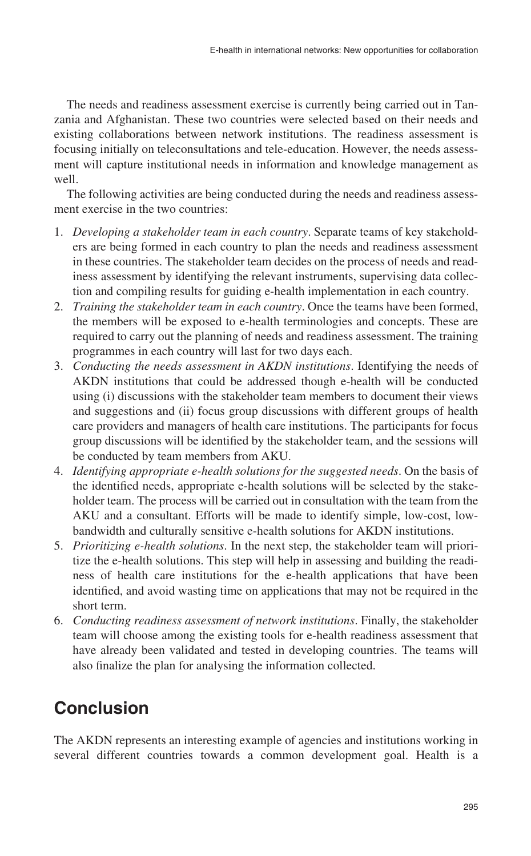The needs and readiness assessment exercise is currently being carried out in Tanzania and Afghanistan. These two countries were selected based on their needs and existing collaborations between network institutions. The readiness assessment is focusing initially on teleconsultations and tele-education. However, the needs assessment will capture institutional needs in information and knowledge management as well.

The following activities are being conducted during the needs and readiness assessment exercise in the two countries:

- 1. *Developing a stakeholder team in each country*. Separate teams of key stakeholders are being formed in each country to plan the needs and readiness assessment in these countries. The stakeholder team decides on the process of needs and readiness assessment by identifying the relevant instruments, supervising data collection and compiling results for guiding e-health implementation in each country.
- 2. *Training the stakeholder team in each country*. Once the teams have been formed, the members will be exposed to e-health terminologies and concepts. These are required to carry out the planning of needs and readiness assessment. The training programmes in each country will last for two days each.
- 3. *Conducting the needs assessment in AKDN institutions*. Identifying the needs of AKDN institutions that could be addressed though e-health will be conducted using (i) discussions with the stakeholder team members to document their views and suggestions and (ii) focus group discussions with different groups of health care providers and managers of health care institutions. The participants for focus group discussions will be identified by the stakeholder team, and the sessions will be conducted by team members from AKU.
- 4. *Identifying appropriate e-health solutions for the suggested needs*. On the basis of the identified needs, appropriate e-health solutions will be selected by the stakeholder team. The process will be carried out in consultation with the team from the AKU and a consultant. Efforts will be made to identify simple, low-cost, lowbandwidth and culturally sensitive e-health solutions for AKDN institutions.
- 5. *Prioritizing e-health solutions*. In the next step, the stakeholder team will prioritize the e-health solutions. This step will help in assessing and building the readiness of health care institutions for the e-health applications that have been identified, and avoid wasting time on applications that may not be required in the short term.
- 6. *Conducting readiness assessment of network institutions*. Finally, the stakeholder team will choose among the existing tools for e-health readiness assessment that have already been validated and tested in developing countries. The teams will also finalize the plan for analysing the information collected.

# **Conclusion**

The AKDN represents an interesting example of agencies and institutions working in several different countries towards a common development goal. Health is a